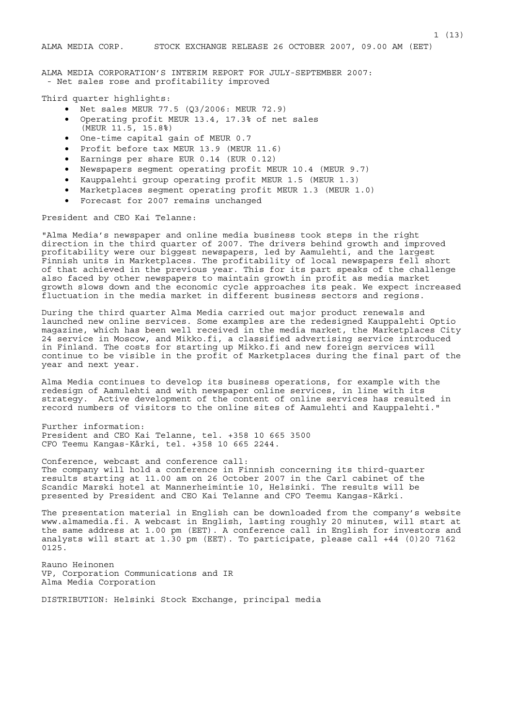ALMA MEDIA CORPORATION'S INTERIM REPORT FOR JULY-SEPTEMBER 2007: - Net sales rose and profitability improved

Third quarter highlights:

- Net sales MEUR 77.5 (Q3/2006: MEUR 72.9)
- Operating profit MEUR 13.4, 17.3% of net sales (MEUR 11.5, 15.8%)
- One-time capital gain of MEUR 0.7
- Profit before tax MEUR 13.9 (MEUR 11.6)
- Earnings per share EUR 0.14 (EUR 0.12)
- Newspapers segment operating profit MEUR 10.4 (MEUR 9.7)
- Kauppalehti group operating profit MEUR 1.5 (MEUR 1.3)
- Marketplaces segment operating profit MEUR 1.3 (MEUR 1.0)
- Forecast for 2007 remains unchanged

President and CEO Kai Telanne:

"Alma Media's newspaper and online media business took steps in the right direction in the third quarter of 2007. The drivers behind growth and improved profitability were our biggest newspapers, led by Aamulehti, and the largest Finnish units in Marketplaces. The profitability of local newspapers fell short of that achieved in the previous year. This for its part speaks of the challenge also faced by other newspapers to maintain growth in profit as media market growth slows down and the economic cycle approaches its peak. We expect increased fluctuation in the media market in different business sectors and regions.

During the third quarter Alma Media carried out major product renewals and launched new online services. Some examples are the redesigned Kauppalehti Optio magazine, which has been well received in the media market, the Marketplaces City 24 service in Moscow, and Mikko.fi, a classified advertising service introduced in Finland. The costs for starting up Mikko.fi and new foreign services will continue to be visible in the profit of Marketplaces during the final part of the year and next year.

Alma Media continues to develop its business operations, for example with the redesign of Aamulehti and with newspaper online services, in line with its strategy. Active development of the content of online services has resulted in record numbers of visitors to the online sites of Aamulehti and Kauppalehti."

Further information: President and CEO Kai Telanne, tel. +358 10 665 3500 CFO Teemu Kangas-Kärki, tel. +358 10 665 2244.

Conference, webcast and conference call: The company will hold a conference in Finnish concerning its third-quarter results starting at 11.00 am on 26 October 2007 in the Carl cabinet of the Scandic Marski hotel at Mannerheimintie 10, Helsinki. The results will be presented by President and CEO Kai Telanne and CFO Teemu Kangas-Kärki.

The presentation material in English can be downloaded from the company's website www.almamedia.fi. A webcast in English, lasting roughly 20 minutes, will start at the same address at 1.00 pm (EET). A conference call in English for investors and analysts will start at 1.30 pm (EET). To participate, please call +44 (0)20 7162 0125.

Rauno Heinonen VP, Corporation Communications and IR Alma Media Corporation

DISTRIBUTION: Helsinki Stock Exchange, principal media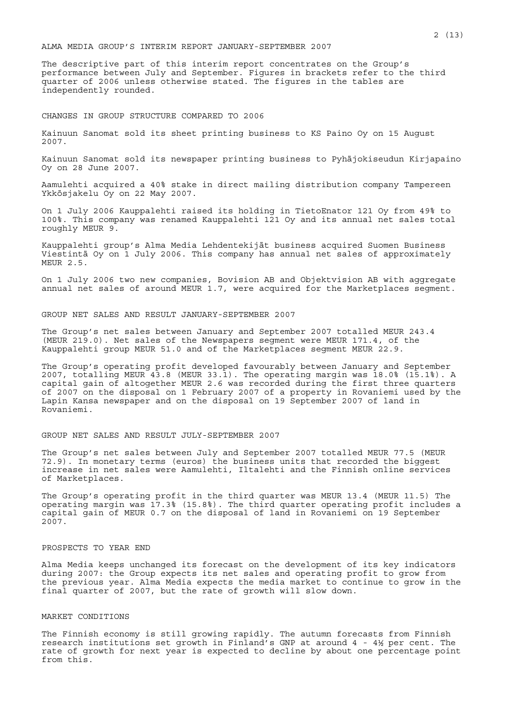## ALMA MEDIA GROUP'S INTERIM REPORT JANUARY-SEPTEMBER 2007

The descriptive part of this interim report concentrates on the Group's performance between July and September. Figures in brackets refer to the third quarter of 2006 unless otherwise stated. The figures in the tables are independently rounded.

#### CHANGES IN GROUP STRUCTURE COMPARED TO 2006

Kainuun Sanomat sold its sheet printing business to KS Paino Oy on 15 August 2007.

Kainuun Sanomat sold its newspaper printing business to Pyhäjokiseudun Kirjapaino Oy on 28 June 2007.

Aamulehti acquired a 40% stake in direct mailing distribution company Tampereen Ykkösjakelu Oy on 22 May 2007.

On 1 July 2006 Kauppalehti raised its holding in TietoEnator 121 Oy from 49% to 100%. This company was renamed Kauppalehti 121 Oy and its annual net sales total roughly MEUR 9.

Kauppalehti group's Alma Media Lehdentekijät business acquired Suomen Business Viestintä Oy on 1 July 2006. This company has annual net sales of approximately MEUR 2.5.

On 1 July 2006 two new companies, Bovision AB and Objektvision AB with aggregate annual net sales of around MEUR 1.7, were acquired for the Marketplaces segment.

GROUP NET SALES AND RESULT JANUARY-SEPTEMBER 2007

The Group's net sales between January and September 2007 totalled MEUR 243.4 (MEUR 219.0). Net sales of the Newspapers segment were MEUR 171.4, of the Kauppalehti group MEUR 51.0 and of the Marketplaces segment MEUR 22.9.

The Group's operating profit developed favourably between January and September 2007, totalling MEUR 43.8 (MEUR 33.1). The operating margin was 18.0% (15.1%). A capital gain of altogether MEUR 2.6 was recorded during the first three quarters of 2007 on the disposal on 1 February 2007 of a property in Rovaniemi used by the Lapin Kansa newspaper and on the disposal on 19 September 2007 of land in Rovaniemi.

#### GROUP NET SALES AND RESULT JULY-SEPTEMBER 2007

The Group's net sales between July and September 2007 totalled MEUR 77.5 (MEUR 72.9). In monetary terms (euros) the business units that recorded the biggest increase in net sales were Aamulehti, Iltalehti and the Finnish online services of Marketplaces.

The Group's operating profit in the third quarter was MEUR 13.4 (MEUR 11.5) The operating margin was 17.3% (15.8%). The third quarter operating profit includes a capital gain of MEUR 0.7 on the disposal of land in Rovaniemi on 19 September 2007.

## PROSPECTS TO YEAR END

Alma Media keeps unchanged its forecast on the development of its key indicators during 2007: the Group expects its net sales and operating profit to grow from the previous year. Alma Media expects the media market to continue to grow in the final quarter of 2007, but the rate of growth will slow down.

#### MARKET CONDITIONS

The Finnish economy is still growing rapidly. The autumn forecasts from Finnish research institutions set growth in Finland's GNP at around 4 - 4½ per cent. The rate of growth for next year is expected to decline by about one percentage point from this.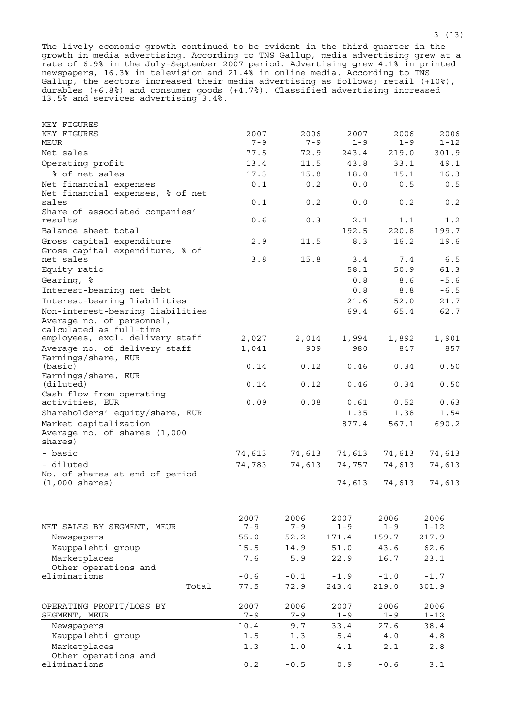The lively economic growth continued to be evident in the third quarter in the growth in media advertising. According to TNS Gallup, media advertising grew at a rate of 6.9% in the July-September 2007 period. Advertising grew 4.1% in printed newspapers, 16.3% in television and 21.4% in online media. According to TNS Gallup, the sectors increased their media advertising as follows; retail (+10%), durables (+6.8%) and consumer goods (+4.7%). Classified advertising increased 13.5% and services advertising 3.4%.

| KEY FIGURES                                                   |                   |                |              |              |              |
|---------------------------------------------------------------|-------------------|----------------|--------------|--------------|--------------|
| KEY FIGURES                                                   | 2007              | 2006           | 2007         | 2006         | 2006         |
| MEUR                                                          | $7 - 9$           | $7 - 9$        | $1 - 9$      | $1 - 9$      | $1 - 12$     |
| Net sales                                                     | 77.5              | 72.9           | 243.4        | 219.0        | 301.9        |
| Operating profit                                              | 13.4              | 11.5           | 43.8         | 33.1         | 49.1         |
| % of net sales                                                | 17.3              | 15.8           | 18.0         | 15.1         | 16.3         |
| Net financial expenses                                        | 0.1               | 0.2            | 0.0          | 0.5          | 0.5          |
| Net financial expenses, % of net                              |                   |                |              |              |              |
| sales                                                         | 0.1               | 0.2            | 0.0          | 0.2          | 0.2          |
| Share of associated companies'                                |                   | 0.3            |              |              |              |
| results<br>Balance sheet total                                | 0.6               |                | 2.1<br>192.5 | 1.1<br>220.8 | 1.2<br>199.7 |
| Gross capital expenditure                                     |                   |                | 8.3          | 16.2         | 19.6         |
| Gross capital expenditure, % of                               | 2.9               | 11.5           |              |              |              |
| net sales                                                     | 3.8               | 15.8           | 3.4          | 7.4          | 6.5          |
| Equity ratio                                                  |                   |                | 58.1         | 50.9         | 61.3         |
| Gearing, %                                                    |                   |                | 0.8          | 8.6          | $-5.6$       |
| Interest-bearing net debt                                     |                   |                | 0.8          | 8.8          | $-6.5$       |
| Interest-bearing liabilities                                  |                   |                | 21.6         | 52.0         | 21.7         |
|                                                               |                   |                |              |              |              |
| Non-interest-bearing liabilities<br>Average no. of personnel, |                   |                | 69.4         | 65.4         | 62.7         |
| calculated as full-time                                       |                   |                |              |              |              |
| employees, excl. delivery staff                               | 2,027             | 2,014          | 1,994        | 1,892        | 1,901        |
| Average no. of delivery staff                                 | 1,041             | 909            | 980          | 847          | 857          |
| Earnings/share, EUR                                           |                   |                |              |              |              |
| (basic)                                                       | 0.14              | 0.12           | 0.46         | 0.34         | 0.50         |
| Earnings/share, EUR                                           |                   |                |              |              |              |
| (diluted)                                                     | 0.14              | 0.12           | 0.46         | 0.34         | 0.50         |
| Cash flow from operating                                      |                   |                |              |              |              |
| activities, EUR                                               | 0.09              | 0.08           | 0.61         | 0.52         | 0.63         |
| Shareholders' equity/share, EUR                               |                   |                | 1.35         | 1.38         | 1.54         |
| Market capitalization                                         |                   |                | 877.4        | 567.1        | 690.2        |
| Average no. of shares (1,000<br>shares)                       |                   |                |              |              |              |
|                                                               |                   |                |              |              |              |
| - basic                                                       | 74,613            | 74,613         | 74,613       | 74,613       | 74,613       |
| - diluted                                                     | 74,783            | 74,613         | 74,757       | 74,613       | 74,613       |
| No. of shares at end of period                                |                   |                |              |              |              |
| $(1,000 \text{ shares})$                                      |                   |                | 74,613       | 74,613       | 74,613       |
|                                                               |                   |                |              |              |              |
|                                                               | 2007              | 2006           | 2007         | 2006         | 2006         |
| NET SALES BY SEGMENT, MEUR                                    | $7 - 9$           | $7 - 9$        | $1 - 9$      | $1 - 9$      | $1 - 12$     |
| Newspapers                                                    | 55.0              | 52.2           | 171.4        | 159.7        | 217.9        |
| Kauppalehti group                                             | 15.5              | 14.9           | 51.0         | 43.6         | 62.6         |
| Marketplaces                                                  | 7.6               | 5.9            | 22.9         | 16.7         | 23.1         |
| Other operations and                                          |                   |                |              |              |              |
| eliminations                                                  | $\sim 0$ . $\leq$ | $-0.1$         | $-1.9$       | $-1.0$       | $-1.7$       |
| Total                                                         | 77.5              | 72.9           | 243.4        | 219.0        | 301.9        |
|                                                               |                   |                |              |              |              |
| OPERATING PROFIT/LOSS BY                                      | 2007              | 2006           | 2007         | 2006         | 2006         |
| SEGMENT, MEUR                                                 | $7 - 9$           | $7 - 9$        | $1 - 9$      | $1 - 9$      | $1 - 12$     |
| Newspapers                                                    | 10.4              | 9.7            | 33.4         | 27.6         | 38.4         |
| Kauppalehti group                                             | 1.5               | 1.3            | 5.4          | 4.0          | $4.8$        |
| Marketplaces                                                  | 1.3               | $1.0$          | 4.1          | 2.1          | 2.8          |
| Other operations and<br>eliminations                          | $0\,.2$           | $\sim 0$ . $5$ | 0.9          | $-0.6$       | $3.1$        |
|                                                               |                   |                |              |              |              |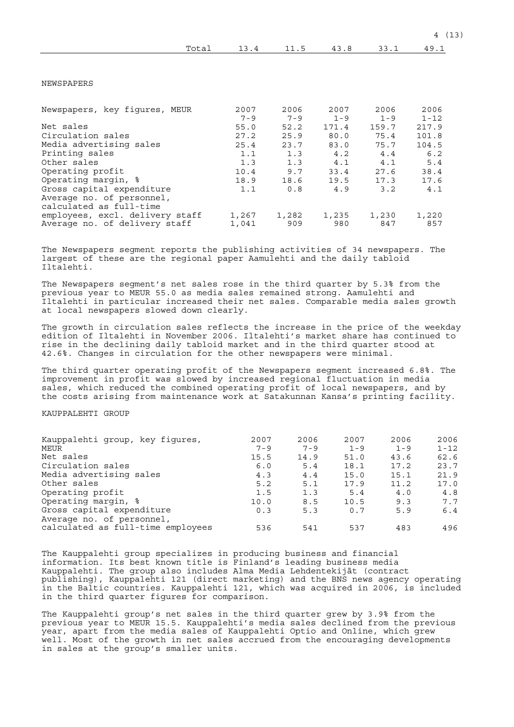| Total                           | 13.4    | 11.5    | 43.8    | 33.1    | 49.1     |
|---------------------------------|---------|---------|---------|---------|----------|
|                                 |         |         |         |         |          |
| NEWSPAPERS                      |         |         |         |         |          |
| Newspapers, key figures, MEUR   | 2007    | 2006    | 2007    | 2006    | 2006     |
|                                 | $7 - 9$ | $7 - 9$ | $1 - 9$ | $1 - 9$ | $1 - 12$ |
| Net sales                       | 55.0    | 52.2    | 171.4   | 159.7   | 217.9    |
| Circulation sales               | 27.2    | 25.9    | 80.0    | 75.4    | 101.8    |
| Media advertising sales         | 25.4    | 23.7    | 83.0    | 75.7    | 104.5    |
| Printing sales                  | 1.1     | 1.3     | 4.2     | 4.4     | 6.2      |
| Other sales                     | 1.3     | 1.3     | 4.1     | 4.1     | 5.4      |
| Operating profit                | 10.4    | 9.7     | 33.4    | 27.6    | 38.4     |
| Operating margin, %             | 18.9    | 18.6    | 19.5    | 17.3    | 17.6     |
| Gross capital expenditure       | 1.1     | 0.8     | 4.9     | 3.2     | 4.1      |
| Average no. of personnel,       |         |         |         |         |          |
| calculated as full-time         |         |         |         |         |          |
| employees, excl. delivery staff | 1,267   | 1,282   | 1,235   | 1,230   | 1,220    |
| Average no. of delivery staff   | 1,041   | 909     | 980     | 847     | 857      |

The Newspapers segment reports the publishing activities of 34 newspapers. The largest of these are the regional paper Aamulehti and the daily tabloid Iltalehti.

The Newspapers segment's net sales rose in the third quarter by 5.3% from the previous year to MEUR 55.0 as media sales remained strong. Aamulehti and Iltalehti in particular increased their net sales. Comparable media sales growth at local newspapers slowed down clearly.

The growth in circulation sales reflects the increase in the price of the weekday edition of Iltalehti in November 2006. Iltalehti's market share has continued to rise in the declining daily tabloid market and in the third quarter stood at 42.6%. Changes in circulation for the other newspapers were minimal.

The third quarter operating profit of the Newspapers segment increased 6.8%. The improvement in profit was slowed by increased regional fluctuation in media sales, which reduced the combined operating profit of local newspapers, and by the costs arising from maintenance work at Satakunnan Kansa's printing facility.

## KAUPPALEHTI GROUP

| 2007    | 2006    | 2007    | 2006    | 2006     |
|---------|---------|---------|---------|----------|
| $7 - 9$ | $7 - 9$ | $1 - 9$ | $1 - 9$ | $1 - 12$ |
| 15.5    | 14.9    | 51.0    | 43.6    | 62.6     |
| 6.0     | 5.4     | 18.1    | 17.2    | 23.7     |
| 4.3     | 4.4     | 15.0    | 15.1    | 21.9     |
| 5.2     | 5.1     | 17.9    | 11.2    | 17.0     |
| 1.5     | 1.3     | 5.4     | 4.0     | 4.8      |
| 10.0    | 8.5     | 10.5    | 9.3     | 7.7      |
| 0.3     | 5.3     | 0.7     | 5.9     | 6.4      |
|         |         |         |         |          |
| 536     | 541     | 537     | 483     | 496      |
|         |         |         |         |          |

The Kauppalehti group specializes in producing business and financial information. Its best known title is Finland's leading business media Kauppalehti. The group also includes Alma Media Lehdentekijät (contract publishing), Kauppalehti 121 (direct marketing) and the BNS news agency operating in the Baltic countries. Kauppalehti 121, which was acquired in 2006, is included in the third quarter figures for comparison.

The Kauppalehti group's net sales in the third quarter grew by 3.9% from the previous year to MEUR 15.5. Kauppalehti's media sales declined from the previous year, apart from the media sales of Kauppalehti Optio and Online, which grew well. Most of the growth in net sales accrued from the encouraging developments in sales at the group's smaller units.

4 (13)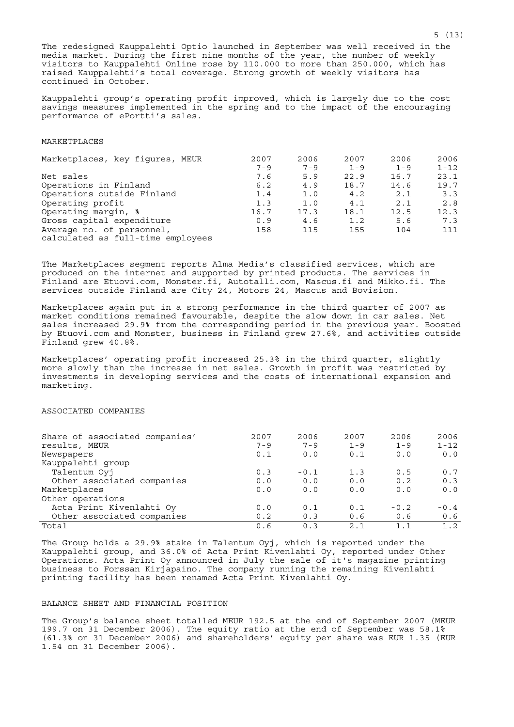The redesigned Kauppalehti Optio launched in September was well received in the media market. During the first nine months of the year, the number of weekly visitors to Kauppalehti Online rose by 110.000 to more than 250.000, which has raised Kauppalehti's total coverage. Strong growth of weekly visitors has continued in October.

Kauppalehti group's operating profit improved, which is largely due to the cost savings measures implemented in the spring and to the impact of the encouraging performance of ePortti's sales.

## MARKETPLACES

| Marketplaces, key figures, MEUR   | 2007    | 2006    | 2007    | 2006    | 2006     |
|-----------------------------------|---------|---------|---------|---------|----------|
|                                   | $7 - 9$ | $7 - 9$ | $1 - 9$ | $1 - 9$ | $1 - 12$ |
| Net sales                         | 7.6     | 5.9     | 22.9    | 16.7    | 23.1     |
| Operations in Finland             | 6.2     | 4.9     | 18.7    | 14.6    | 19.7     |
| Operations outside Finland        | 1.4     | 1.0     | 4.2     | 2.1     | 3.3      |
| Operating profit                  | 1.3     | 1.0     | 4.1     | 2.1     | 2.8      |
| Operating margin, %               | 16.7    | 17.3    | 18.1    | 12.5    | 12.3     |
| Gross capital expenditure         | 0.9     | 4.6     | 1.2     | 5.6     | 7.3      |
| Average no. of personnel,         | 158     | 115     | 155     | 104     | 111      |
| calculated as full-time employees |         |         |         |         |          |

The Marketplaces segment reports Alma Media's classified services, which are produced on the internet and supported by printed products. The services in Finland are Etuovi.com, Monster.fi, Autotalli.com, Mascus.fi and Mikko.fi. The services outside Finland are City 24, Motors 24, Mascus and Bovision.

Marketplaces again put in a strong performance in the third quarter of 2007 as market conditions remained favourable, despite the slow down in car sales. Net sales increased 29.9% from the corresponding period in the previous year. Boosted by Etuovi.com and Monster, business in Finland grew 27.6%, and activities outside Finland grew 40.8%.

Marketplaces' operating profit increased 25.3% in the third quarter, slightly more slowly than the increase in net sales. Growth in profit was restricted by investments in developing services and the costs of international expansion and marketing.

# ASSOCIATED COMPANIES

| Share of associated companies' | 2007    | 2006    | 2007    | 2006    | 2006     |
|--------------------------------|---------|---------|---------|---------|----------|
| results, MEUR                  | $7 - 9$ | $7 - 9$ | $1 - 9$ | $1 - 9$ | $1 - 12$ |
| Newspapers                     | 0.1     | 0.0     | 0.1     | 0.0     | 0.0      |
| Kauppalehti group              |         |         |         |         |          |
| Talentum Oyj                   | 0.3     | $-0.1$  | 1.3     | 0.5     | 0.7      |
| Other associated companies     | 0.0     | 0.0     | 0.0     | 0.2     | 0.3      |
| Marketplaces                   | 0.0     | 0.0     | 0.0     | 0.0     | 0.0      |
| Other operations               |         |         |         |         |          |
| Acta Print Kivenlahti Oy       | 0.0     | 0.1     | 0.1     | $-0.2$  | $-0.4$   |
| Other associated companies     | 0.2     | 0.3     | 0.6     | 0.6     | 0.6      |
| Total                          | 0.6     | 0.3     | 2.1     | 1.1     | 1.2      |

The Group holds a 29.9% stake in Talentum Oyj, which is reported under the Kauppalehti group, and 36.0% of Acta Print Kivenlahti Oy, reported under Other Operations. Acta Print Oy announced in July the sale of it's magazine printing business to Forssan Kirjapaino. The company running the remaining Kivenlahti printing facility has been renamed Acta Print Kivenlahti Oy.

## BALANCE SHEET AND FINANCIAL POSITION

The Group's balance sheet totalled MEUR 192.5 at the end of September 2007 (MEUR 199.7 on 31 December 2006). The equity ratio at the end of September was 58.1% (61.3% on 31 December 2006) and shareholders' equity per share was EUR 1.35 (EUR 1.54 on 31 December 2006).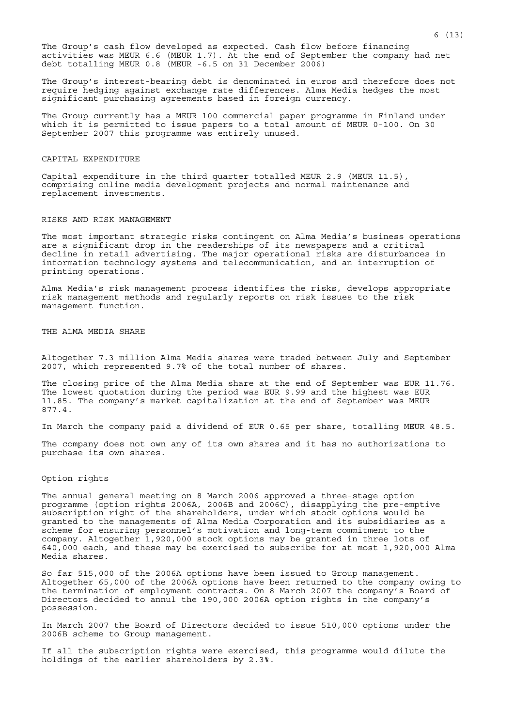The Group's cash flow developed as expected. Cash flow before financing activities was MEUR 6.6 (MEUR 1.7). At the end of September the company had net debt totalling MEUR 0.8 (MEUR -6.5 on 31 December 2006)

The Group's interest-bearing debt is denominated in euros and therefore does not require hedging against exchange rate differences. Alma Media hedges the most significant purchasing agreements based in foreign currency.

The Group currently has a MEUR 100 commercial paper programme in Finland under which it is permitted to issue papers to a total amount of MEUR 0-100. On 30 September 2007 this programme was entirely unused.

#### CAPITAL EXPENDITURE

Capital expenditure in the third quarter totalled MEUR 2.9 (MEUR 11.5), comprising online media development projects and normal maintenance and replacement investments.

#### RISKS AND RISK MANAGEMENT

The most important strategic risks contingent on Alma Media's business operations are a significant drop in the readerships of its newspapers and a critical decline in retail advertising. The major operational risks are disturbances in information technology systems and telecommunication, and an interruption of printing operations.

Alma Media's risk management process identifies the risks, develops appropriate risk management methods and regularly reports on risk issues to the risk management function.

THE ALMA MEDIA SHARE

Altogether 7.3 million Alma Media shares were traded between July and September 2007, which represented 9.7% of the total number of shares.

The closing price of the Alma Media share at the end of September was EUR 11.76. The lowest quotation during the period was EUR 9.99 and the highest was EUR 11.85. The company's market capitalization at the end of September was MEUR 877.4.

In March the company paid a dividend of EUR 0.65 per share, totalling MEUR 48.5.

The company does not own any of its own shares and it has no authorizations to purchase its own shares.

## Option rights

The annual general meeting on 8 March 2006 approved a three-stage option programme (option rights 2006A, 2006B and 2006C), disapplying the pre-emptive subscription right of the shareholders, under which stock options would be granted to the managements of Alma Media Corporation and its subsidiaries as a scheme for ensuring personnel's motivation and long-term commitment to the company. Altogether 1,920,000 stock options may be granted in three lots of 640,000 each, and these may be exercised to subscribe for at most 1,920,000 Alma Media shares.

So far 515,000 of the 2006A options have been issued to Group management. Altogether 65,000 of the 2006A options have been returned to the company owing to the termination of employment contracts. On 8 March 2007 the company's Board of Directors decided to annul the 190,000 2006A option rights in the company's possession.

In March 2007 the Board of Directors decided to issue 510,000 options under the 2006B scheme to Group management.

If all the subscription rights were exercised, this programme would dilute the holdings of the earlier shareholders by 2.3%.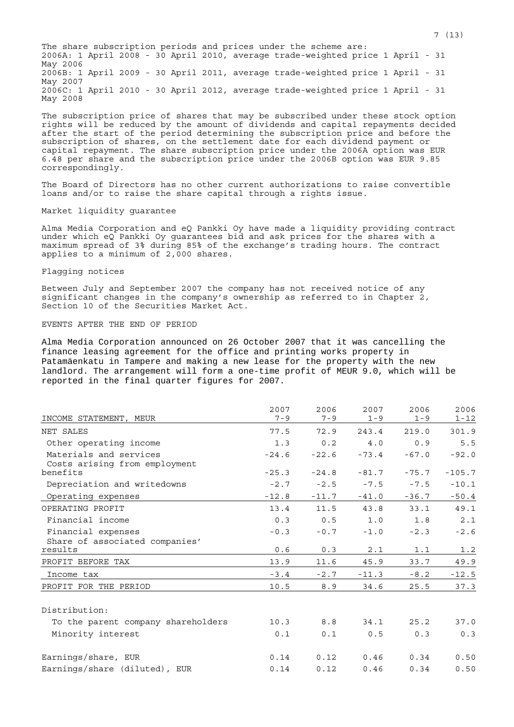The share subscription periods and prices under the scheme are: 2006A: 1 April 2008 - 30 April 2010, average trade-weighted price 1 April - 31 May 2006 2006B: 1 April 2009 - 30 April 2011, average trade-weighted price 1 April - 31 May 2007 2006C: 1 April 2010 - 30 April 2012, average trade-weighted price 1 April - 31 May 2008

The subscription price of shares that may be subscribed under these stock option rights will be reduced by the amount of dividends and capital repayments decided after the start of the period determining the subscription price and before the subscription of shares, on the settlement date for each dividend payment or capital repayment. The share subscription price under the 2006A option was EUR 6.48 per share and the subscription price under the 2006B option was EUR 9.85 correspondingly.

The Board of Directors has no other current authorizations to raise convertible loans and/or to raise the share capital through a rights issue.

# Market liquidity guarantee

Alma Media Corporation and eQ Pankki Oy have made a liquidity providing contract under which eQ Pankki Oy guarantees bid and ask prices for the shares with a maximum spread of 3% during 85% of the exchange's trading hours. The contract applies to a minimum of 2,000 shares.

#### Flagging notices

Between July and September 2007 the company has not received notice of any significant changes in the company's ownership as referred to in Chapter 2, Section 10 of the Securities Market Act.

## EVENTS AFTER THE END OF PERIOD

Alma Media Corporation announced on 26 October 2007 that it was cancelling the finance leasing agreement for the office and printing works property in Patamäenkatu in Tampere and making a new lease for the property with the new landlord. The arrangement will form a one-time profit of MEUR 9.0, which will be reported in the final quarter figures for 2007.

| INCOME STATEMENT, MEUR                                  | 2007<br>$7 - 9$ | 2006<br>$7 - 9$ | 2007<br>$1 - 9$ | 2006<br>$1 - 9$ | 2006<br>$1 - 12$ |
|---------------------------------------------------------|-----------------|-----------------|-----------------|-----------------|------------------|
| NET SALES                                               | 77.5            | 72.9            | 243.4           | 219.0           | 301.9            |
| Other operating income                                  | 1.3             | 0.2             | 4.0             | 0.9             | 5.5              |
| Materials and services<br>Costs arising from employment | $-24.6$         | $-22.6$         | $-73.4$         | $-67.0$         | $-92.0$          |
| benefits                                                | $-25.3$         | $-24.8$         | $-81.7$         | $-75.7$         | $-105.7$         |
| Depreciation and writedowns                             | $-2.7$          | $-2.5$          | $-7.5$          | $-7.5$          | $-10.1$          |
| Operating expenses                                      | $-12.8$         | $-11.7$         | $-41.0$         | $-36.7$         | $-50.4$          |
| OPERATING PROFIT                                        | 13.4            | 11.5            | 43.8            | 33.1            | 49.1             |
| Financial income                                        | 0.3             | 0.5             | 1.0             | 1.8             | 2.1              |
| Financial expenses<br>Share of associated companies'    | $-0.3$          | $-0.7$          | $-1.0$          | $-2.3$          | $-2.6$           |
| results                                                 | 0.6             | 0.3             | 2.1             | 1.1             | 1.2              |
| PROFIT BEFORE TAX                                       | 13.9            | 11.6            | 45.9            | 33.7            | 49.9             |
| Income tax                                              | $-3.4$          | $-2.7$          | $-11.3$         | $-8.2$          | $-12.5$          |
| PROFIT FOR THE PERIOD                                   | 10.5            | 8.9             | 34.6            | 25.5            | 37.3             |
| Distribution:                                           |                 |                 |                 |                 |                  |

| To the parent company shareholders | 10.3 | 8.8  | 34.1 | 25.2 | 37.0 |
|------------------------------------|------|------|------|------|------|
| Minority interest                  | 0.1  | 0.1  | 0.5  | 0.3  | 0.3  |
| Earnings/share, EUR                | 0.14 | 0.12 | 0.46 | 0.34 | 0.50 |
| Earnings/share (diluted), EUR      | 0.14 | 0.12 | 0.46 | 0.34 | 0.50 |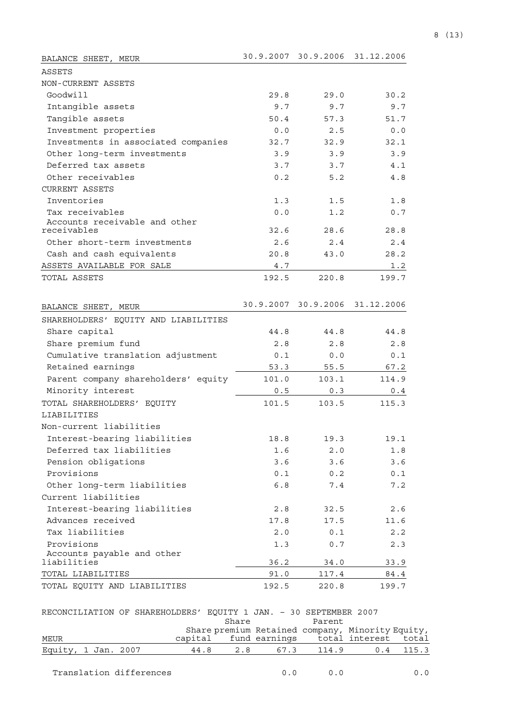| BALANCE SHEET, MEUR                          | 30.9.2007 | 30.9.2006           | 31.12.2006   |
|----------------------------------------------|-----------|---------------------|--------------|
| ASSETS                                       |           |                     |              |
| NON-CURRENT ASSETS                           |           |                     |              |
| Goodwill                                     | 29.8      | 29.0                | 30.2         |
| Intangible assets                            | 9.7       | 9.7                 | 9.7          |
| Tangible assets                              | 50.4      | 57.3                | 51.7         |
| Investment properties                        | 0.0       | 2.5                 | 0.0          |
| Investments in associated companies          | 32.7      | 32.9                | 32.1         |
| Other long-term investments                  | 3.9       | 3.9                 | 3.9          |
| Deferred tax assets                          | 3.7       | 3.7                 | 4.1          |
| Other receivables                            | 0.2       | 5.2                 | 4.8          |
| <b>CURRENT ASSETS</b>                        |           |                     |              |
| Inventories                                  | 1.3       | 1.5                 | 1.8          |
| Tax receivables                              | 0.0       | 1.2                 | 0.7          |
| Accounts receivable and other<br>receivables | 32.6      | 28.6                | 28.8         |
| Other short-term investments                 | 2.6       | 2.4                 | 2.4          |
|                                              | 20.8      |                     | 28.2         |
| Cash and cash equivalents                    |           | 43.0                |              |
| ASSETS AVAILABLE FOR SALE<br>TOTAL ASSETS    | 4.7       | 220.8               | 1.2<br>199.7 |
|                                              | 192.5     |                     |              |
|                                              |           |                     |              |
| BALANCE SHEET, MEUR                          |           | 30.9.2007 30.9.2006 | 31.12.2006   |
| SHAREHOLDERS' EQUITY AND LIABILITIES         |           |                     |              |
| Share capital                                | 44.8      | 44.8                | 44.8         |
| Share premium fund                           | 2.8       | 2.8                 | 2.8          |
| Cumulative translation adjustment            | 0.1       | 0.0                 | 0.1          |
| Retained earnings                            | 53.3      | 55.5                | 67.2         |
| Parent company shareholders' equity          | 101.0     | 103.1               | 114.9        |
| Minority interest                            | 0.5       | 0.3                 | 0.4          |
| TOTAL SHAREHOLDERS' EQUITY                   | 101.5     | 103.5               | 115.3        |
| LIABILITIES                                  |           |                     |              |
| Non-current liabilities                      |           |                     |              |
| Interest-bearing liabilities                 | 18.8      | 19.3                | 19.1         |
| Deferred tax liabilities                     | 1.6       | 2.0                 | 1.8          |
| Pension obligations                          | 3.6       | 3.6                 | 3.6          |
| Provisions                                   | 0.1       | 0.2                 | 0.1          |
| Other long-term liabilities                  | 6.8       | 7.4                 | 7.2          |
| Current liabilities                          |           |                     |              |
| Interest-bearing liabilities                 | 2.8       | 32.5                | 2.6          |
| Advances received                            | 17.8      | 17.5                | 11.6         |
| Tax liabilities                              | 2.0       | 0.1                 | 2.2          |
| Provisions                                   | 1.3       | 0.7                 | 2.3          |
| Accounts payable and other<br>liabilities    |           |                     |              |
| TOTAL LIABILITIES                            | 36.2      | 34.0                | 33.9         |
|                                              | 91.0      | 117.4               | 84.4         |
| TOTAL EQUITY AND LIABILITIES                 | 192.5     | 220.8               | 199.7        |

| 533   | 55.5  | 672 |
|-------|-------|-----|
| 101 Q | ו בחו |     |

| RECONCILIATION OF SHAREHOLDERS' EOUITY 1 JAN. - 30 SEPTEMBER 2007 |  |      |       |                                                  |  |
|-------------------------------------------------------------------|--|------|-------|--------------------------------------------------|--|
|                                                                   |  |      | Share | Parent                                           |  |
|                                                                   |  |      |       | Share premium Retained company, Minority Equity, |  |
| MEUR                                                              |  |      |       | capital fund earnings total interest total       |  |
| Equity, 1 Jan. 2007                                               |  | 44.8 |       | 2.8 67.3 114.9 0.4 115.3                         |  |

Translation differences  $0.0$  0.0 0.0 0.0

Equity, total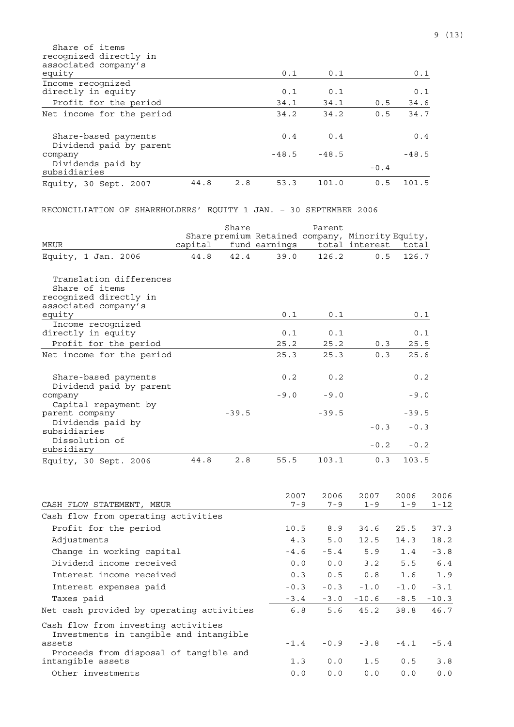| Share of items<br>recognized directly in<br>associated company's<br>equity |      |     | 0.1     | 0.1     |        | 0.1     |
|----------------------------------------------------------------------------|------|-----|---------|---------|--------|---------|
| Income recognized                                                          |      |     |         |         |        |         |
| directly in equity                                                         |      |     | 0.1     | 0.1     |        | 0.1     |
| Profit for the period                                                      |      |     | 34.1    | 34.1    | 0.5    | 34.6    |
| Net income for the period                                                  |      |     | 34.2    | 34.2    | 0.5    | 34.7    |
| Share-based payments<br>Dividend paid by parent                            |      |     | 0.4     | 0.4     |        | 0.4     |
| company                                                                    |      |     | $-48.5$ | $-48.5$ |        | $-48.5$ |
| Dividends paid by<br>subsidiaries                                          |      |     |         |         | $-0.4$ |         |
| Equity, 30 Sept. 2007                                                      | 44.8 | 2.8 | 53.3    | 101.0   | 0.5    | 101.5   |

# RECONCILIATION OF SHAREHOLDERS' EQUITY 1 JAN. – 30 SEPTEMBER 2006

| <b>MEUR</b>                                                                                           |         | Share   |               | Parent  | Share premium Retained company, Minority Equity,<br>total interest total |         |
|-------------------------------------------------------------------------------------------------------|---------|---------|---------------|---------|--------------------------------------------------------------------------|---------|
|                                                                                                       | capital |         | fund earnings |         |                                                                          |         |
| Equity, 1 Jan. 2006                                                                                   | 44.8    | 42.4    | 39.0          | 126.2   | 0.5                                                                      | 126.7   |
| Translation differences<br>Share of items<br>recognized directly in<br>associated company's<br>equity |         |         | 0.1           | 0.1     |                                                                          | 0.1     |
| Income recognized                                                                                     |         |         |               |         |                                                                          |         |
| directly in equity                                                                                    |         |         | 0.1           | 0.1     |                                                                          | 0.1     |
| Profit for the period                                                                                 |         |         | 25.2          | 25.2    | 0.3                                                                      | 25.5    |
| Net income for the period                                                                             |         |         | 25.3          | 25.3    | 0.3                                                                      | 25.6    |
| Share-based payments<br>Dividend paid by parent                                                       |         |         | 0.2           | 0.2     |                                                                          | 0.2     |
| company<br>Capital repayment by                                                                       |         |         | $-9.0$        | $-9.0$  |                                                                          | $-9.0$  |
| parent company                                                                                        |         | $-39.5$ |               | $-39.5$ |                                                                          | $-39.5$ |
| Dividends paid by<br>subsidiaries                                                                     |         |         |               |         | $-0.3$                                                                   | $-0.3$  |
| Dissolution of<br>subsidiary                                                                          |         |         |               |         | $-0.2$                                                                   | $-0.2$  |
| Equity, 30 Sept. 2006                                                                                 | 44.8    | 2.8     | 55.5          | 103.1   | 0.3                                                                      | 103.5   |

|                                                                               | 2007    | 2006    | 2007    | 2006    | 2006     |
|-------------------------------------------------------------------------------|---------|---------|---------|---------|----------|
| CASH FLOW STATEMENT, MEUR                                                     | $7 - 9$ | $7 - 9$ | $1 - 9$ | $1 - 9$ | $1 - 12$ |
| Cash flow from operating activities                                           |         |         |         |         |          |
| Profit for the period                                                         | 10.5    | 8.9     | 34.6    | 25.5    | 37.3     |
| Adjustments                                                                   | 4.3     | 5.0     | 12.5    | 14.3    | 18.2     |
| Change in working capital                                                     | $-4.6$  | $-5.4$  | 5.9     | 1.4     | $-3.8$   |
| Dividend income received                                                      | 0.0     | 0.0     | 3.2     | 5.5     | 6.4      |
| Interest income received                                                      | 0.3     | 0.5     | 0.8     | 1.6     | 1.9      |
| Interest expenses paid                                                        | $-0.3$  | $-0.3$  | $-1.0$  | $-1.0$  | $-3.1$   |
| Taxes paid                                                                    | $-3.4$  | $-3.0$  | $-10.6$ | $-8.5$  | $-10.3$  |
| Net cash provided by operating activities                                     | 6.8     | 5.6     | 45.2    | 38.8    | 46.7     |
| Cash flow from investing activities<br>Investments in tangible and intangible |         |         |         |         |          |
| assets<br>Proceeds from disposal of tangible and                              | $-1.4$  | $-0.9$  | $-3.8$  | $-4.1$  | $-5.4$   |
| intangible assets                                                             | 1.3     | 0.0     | 1.5     | 0.5     | 3.8      |
| Other investments                                                             | 0.0     | 0.0     | 0.0     | 0.0     | 0.0      |
|                                                                               |         |         |         |         |          |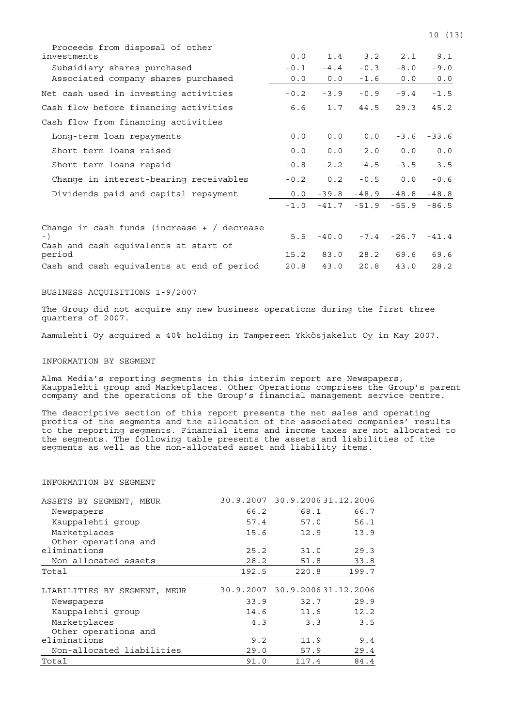| Proceeds from disposal of other<br>investments  | 0.0    | 1.4     | 3.2     | 2.1           | 9.1     |
|-------------------------------------------------|--------|---------|---------|---------------|---------|
| Subsidiary shares purchased                     | $-0.1$ | $-4.4$  | $-0.3$  | $-8.0$        | $-9.0$  |
| Associated company shares purchased             | 0.0    | 0.0     | $-1.6$  | 0.0           | 0.0     |
| Net cash used in investing activities           | $-0.2$ | $-3.9$  | $-0.9$  | $-9.4$        | $-1.5$  |
| Cash flow before financing activities           | 6.6    | 1.7     | 44.5    | 29.3          | 45.2    |
| Cash flow from financing activities             |        |         |         |               |         |
| Long-term loan repayments                       | 0.0    | 0.0     | 0.0     | $-3.6$        | $-33.6$ |
| Short-term loans raised                         | 0.0    | 0.0     | 2.0     | 0.0           | 0.0     |
| Short-term loans repaid                         | $-0.8$ | $-2.2$  | $-4.5$  | $-3.5$        | $-3.5$  |
| Change in interest-bearing receivables          | $-0.2$ | 0.2     | $-0.5$  | 0.0           | $-0.6$  |
| Dividends paid and capital repayment            | 0.0    | $-39.8$ | $-48.9$ | $-48.8$       | $-48.8$ |
|                                                 | $-1.0$ | $-41.7$ | $-51.9$ | $-55.9$       | $-86.5$ |
| Change in cash funds (increase $+$ / decrease   |        |         |         |               |         |
| $-$ )                                           | 5.5    | $-40.0$ |         | $-7.4 - 26.7$ | $-41.4$ |
| Cash and cash equivalents at start of<br>period | 15.2   | 83.0    |         | 28.2 69.6     | 69.6    |

BUSINESS ACQUISITIONS 1-9/2007

The Group did not acquire any new business operations during the first three quarters of 2007.

Cash and cash equivalents at end of period 20.8 43.0 20.8 43.0 28.2

Aamulehti Oy acquired a 40% holding in Tampereen Ykkösjakelut Oy in May 2007.

#### INFORMATION BY SEGMENT

Alma Media's reporting segments in this interim report are Newspapers, Kauppalehti group and Marketplaces. Other Operations comprises the Group's parent company and the operations of the Group's financial management service centre.

The descriptive section of this report presents the net sales and operating profits of the segments and the allocation of the associated companies' results to the reporting segments. Financial items and income taxes are not allocated to the segments. The following table presents the assets and liabilities of the segments as well as the non-allocated asset and liability items.

#### INFORMATION BY SEGMENT

| ASSETS BY SEGMENT,<br>MEUR   |       | 30.9.2007 30.9.2006 31.12.2006 |       |
|------------------------------|-------|--------------------------------|-------|
| Newspapers                   | 66.2  | 68.1                           | 66.7  |
| Kauppalehti group            | 57.4  | 57.0                           | 56.1  |
| Marketplaces                 | 15.6  | 12.9                           | 13.9  |
| Other operations and         |       |                                |       |
| eliminations                 | 25.2  | 31.0                           | 29.3  |
| Non-allocated assets         | 28.2  | 51.8                           | 33.8  |
| Total                        | 192.5 | 220.8                          | 199.7 |
|                              |       |                                |       |
| LIABILITIES BY SEGMENT, MEUR |       | 30.9.2007 30.9.2006 31.12.2006 |       |
| Newspapers                   | 33.9  | 32.7                           | 29.9  |
| Kauppalehti group            | 14.6  | 11.6                           | 12.2  |
| Marketplaces                 | 4.3   | 3.3                            | 3.5   |
|                              |       |                                |       |
| Other operations and         |       |                                |       |
| eliminations                 | 9.2   | 11.9                           | 9.4   |
| Non-allocated liabilities    | 29.0  | 57.9                           | 29.4  |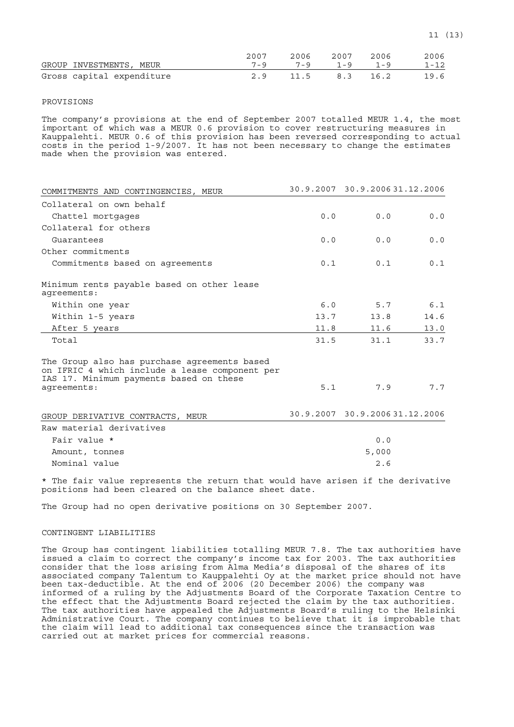|                           | 2007 |                         | 2006 2007 | 2006 | 2006     |
|---------------------------|------|-------------------------|-----------|------|----------|
| GROUP INVESTMENTS, MEUR   |      | $7-9$ $7-9$ $1-9$ $1-9$ |           |      | $1 - 12$ |
| Gross capital expenditure |      | 2.9 11.5 8.3 16.2       |           |      | 19.6     |

## PROVISIONS

The company's provisions at the end of September 2007 totalled MEUR 1.4, the most important of which was a MEUR 0.6 provision to cover restructuring measures in Kauppalehti. MEUR 0.6 of this provision has been reversed corresponding to actual costs in the period 1-9/2007. It has not been necessary to change the estimates made when the provision was entered.

| COMMITMENTS AND CONTINGENCIES, MEUR                                                                                                       |      | 30.9.2007 30.9.200631.12.2006  |       |
|-------------------------------------------------------------------------------------------------------------------------------------------|------|--------------------------------|-------|
| Collateral on own behalf                                                                                                                  |      |                                |       |
| Chattel mortgages                                                                                                                         | 0.0  | 0.0                            | 0.0   |
| Collateral for others                                                                                                                     |      |                                |       |
| Guarantees                                                                                                                                | 0.0  | 0.0                            | 0.0   |
| Other commitments                                                                                                                         |      |                                |       |
| Commitments based on agreements                                                                                                           | 0.1  | 0.1                            | 0.1   |
| Minimum rents payable based on other lease<br>aqreements:                                                                                 |      |                                |       |
| Within one year                                                                                                                           | 6.0  | 5.7                            | $6.1$ |
| Within 1-5 years                                                                                                                          | 13.7 | 13.8                           | 14.6  |
| After 5 years                                                                                                                             | 11.8 | 11.6                           | 13.0  |
| Total                                                                                                                                     | 31.5 | 31.1                           | 33.7  |
| The Group also has purchase agreements based<br>on IFRIC 4 which include a lease component per<br>IAS 17. Minimum payments based on these |      |                                |       |
| agreements:                                                                                                                               | 5.1  | 7.9                            | 7.7   |
| GROUP DERIVATIVE CONTRACTS, MEUR                                                                                                          |      | 30.9.2007 30.9.2006 31.12.2006 |       |
| Raw material derivatives                                                                                                                  |      |                                |       |
| Fair value *                                                                                                                              |      | 0.0                            |       |
| Amount, tonnes                                                                                                                            |      | 5,000                          |       |
| Nominal value                                                                                                                             |      | 2.6                            |       |

\* The fair value represents the return that would have arisen if the derivative positions had been cleared on the balance sheet date.

The Group had no open derivative positions on 30 September 2007.

## CONTINGENT LIABILITIES

The Group has contingent liabilities totalling MEUR 7.8. The tax authorities have issued a claim to correct the company's income tax for 2003. The tax authorities consider that the loss arising from Alma Media's disposal of the shares of its associated company Talentum to Kauppalehti Oy at the market price should not have been tax-deductible. At the end of 2006 (20 December 2006) the company was informed of a ruling by the Adjustments Board of the Corporate Taxation Centre to the effect that the Adjustments Board rejected the claim by the tax authorities. The tax authorities have appealed the Adjustments Board's ruling to the Helsinki Administrative Court. The company continues to believe that it is improbable that the claim will lead to additional tax consequences since the transaction was carried out at market prices for commercial reasons.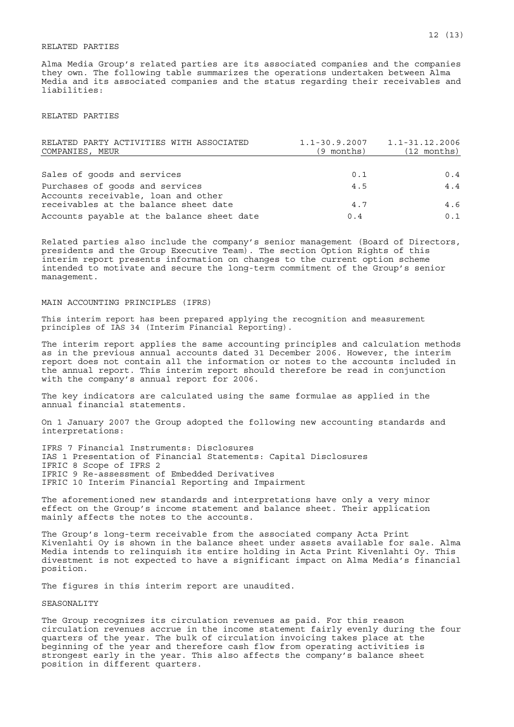#### RELATED PARTIES

Alma Media Group's related parties are its associated companies and the companies they own. The following table summarizes the operations undertaken between Alma Media and its associated companies and the status regarding their receivables and liabilities:

#### RELATED PARTIES

| RELATED PARTY ACTIVITIES WITH ASSOCIATED<br>COMPANIES, MEUR | (9 months) | $1.1 - 30.9.2007$ $1.1 - 31.12.2006$<br>$(12 \text{ months})$ |
|-------------------------------------------------------------|------------|---------------------------------------------------------------|
|                                                             |            |                                                               |
| Sales of goods and services                                 | 0.1        | 0.4                                                           |
| Purchases of goods and services                             | 4.5        | 4.4                                                           |
| Accounts receivable, loan and other                         |            |                                                               |
| receivables at the balance sheet date                       | 4.7        | 4.6                                                           |
| Accounts payable at the balance sheet date                  | 0.4        | 0.1                                                           |

Related parties also include the company's senior management (Board of Directors, presidents and the Group Executive Team). The section Option Rights of this interim report presents information on changes to the current option scheme intended to motivate and secure the long-term commitment of the Group's senior management.

#### MAIN ACCOUNTING PRINCIPLES (IFRS)

This interim report has been prepared applying the recognition and measurement principles of IAS 34 (Interim Financial Reporting).

The interim report applies the same accounting principles and calculation methods as in the previous annual accounts dated 31 December 2006. However, the interim report does not contain all the information or notes to the accounts included in the annual report. This interim report should therefore be read in conjunction with the company's annual report for 2006.

The key indicators are calculated using the same formulae as applied in the annual financial statements.

On 1 January 2007 the Group adopted the following new accounting standards and interpretations:

IFRS 7 Financial Instruments: Disclosures IAS 1 Presentation of Financial Statements: Capital Disclosures IFRIC 8 Scope of IFRS 2 IFRIC 9 Re-assessment of Embedded Derivatives IFRIC 10 Interim Financial Reporting and Impairment

The aforementioned new standards and interpretations have only a very minor effect on the Group's income statement and balance sheet. Their application mainly affects the notes to the accounts.

The Group's long-term receivable from the associated company Acta Print Kivenlahti Oy is shown in the balance sheet under assets available for sale. Alma Media intends to relinquish its entire holding in Acta Print Kivenlahti Oy. This divestment is not expected to have a significant impact on Alma Media's financial position.

The figures in this interim report are unaudited.

#### SEASONALITY

The Group recognizes its circulation revenues as paid. For this reason circulation revenues accrue in the income statement fairly evenly during the four quarters of the year. The bulk of circulation invoicing takes place at the beginning of the year and therefore cash flow from operating activities is strongest early in the year. This also affects the company's balance sheet position in different quarters.